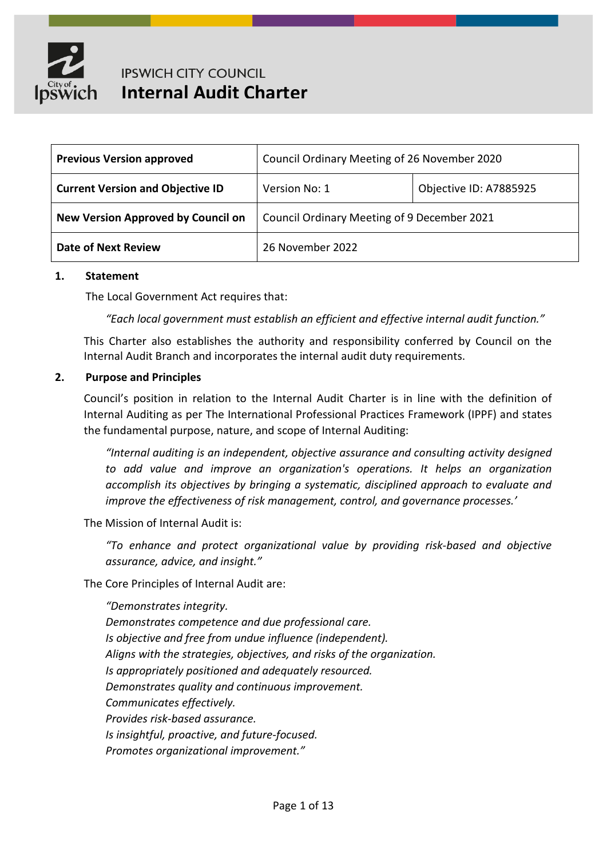

# **IPSWICH CITY COUNCIL Internal Audit Charter**

| <b>Previous Version approved</b>          | Council Ordinary Meeting of 26 November 2020 |                        |
|-------------------------------------------|----------------------------------------------|------------------------|
| <b>Current Version and Objective ID</b>   | Version No: 1                                | Objective ID: A7885925 |
| <b>New Version Approved by Council on</b> | Council Ordinary Meeting of 9 December 2021  |                        |
| <b>Date of Next Review</b>                | 26 November 2022                             |                        |

## **1. Statement**

The Local Government Act requires that:

*"Each local government must establish an efficient and effective internal audit function."*

This Charter also establishes the authority and responsibility conferred by Council on the Internal Audit Branch and incorporates the internal audit duty requirements.

# **2. Purpose and Principles**

Council's position in relation to the Internal Audit Charter is in line with the definition of Internal Auditing as per The International Professional Practices Framework (IPPF) and states the fundamental purpose, nature, and scope of Internal Auditing:

*"Internal auditing is an independent, objective assurance and consulting activity designed to add value and improve an organization's operations. It helps an organization accomplish its objectives by bringing a systematic, disciplined approach to evaluate and improve the effectiveness of risk management, control, and governance processes.'*

The Mission of Internal Audit is:

*"To enhance and protect organizational value by providing risk-based and objective assurance, advice, and insight."*

The Core Principles of Internal Audit are:

*"Demonstrates integrity. Demonstrates competence and due professional care. Is objective and free from undue influence (independent). Aligns with the strategies, objectives, and risks of the organization. Is appropriately positioned and adequately resourced. Demonstrates quality and continuous improvement. Communicates effectively. Provides risk-based assurance. Is insightful, proactive, and future-focused. Promotes organizational improvement."*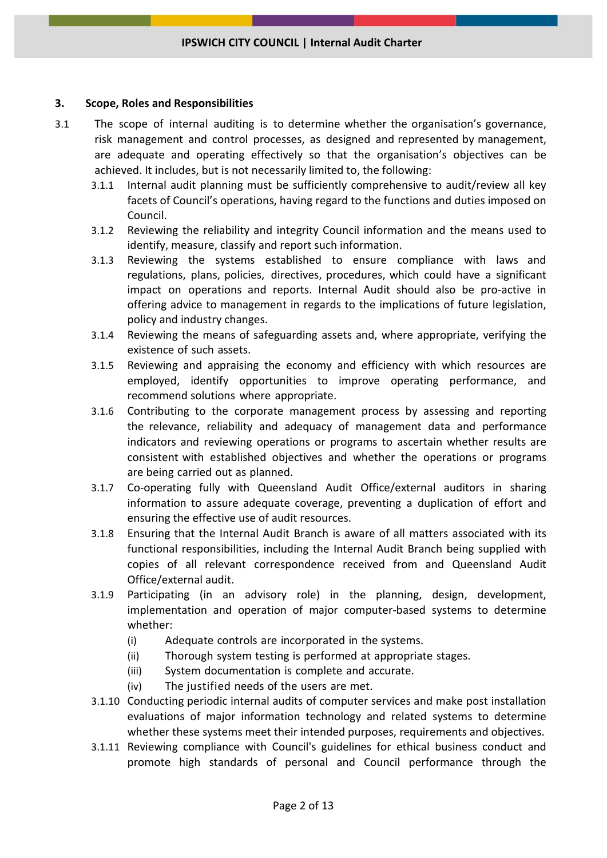## **3. Scope, Roles and Responsibilities**

- 3.1 The scope of internal auditing is to determine whether the organisation's governance, risk management and control processes, as designed and represented by management, are adequate and operating effectively so that the organisation's objectives can be achieved. It includes, but is not necessarily limited to, the following:
	- 3.1.1 Internal audit planning must be sufficiently comprehensive to audit/review all key facets of Council's operations, having regard to the functions and duties imposed on Council.
	- 3.1.2 Reviewing the reliability and integrity Council information and the means used to identify, measure, classify and report such information.
	- 3.1.3 Reviewing the systems established to ensure compliance with laws and regulations, plans, policies, directives, procedures, which could have a significant impact on operations and reports. Internal Audit should also be pro‐active in offering advice to management in regards to the implications of future legislation, policy and industry changes.
	- 3.1.4 Reviewing the means of safeguarding assets and, where appropriate, verifying the existence of such assets.
	- 3.1.5 Reviewing and appraising the economy and efficiency with which resources are employed, identify opportunities to improve operating performance, and recommend solutions where appropriate.
	- 3.1.6 Contributing to the corporate management process by assessing and reporting the relevance, reliability and adequacy of management data and performance indicators and reviewing operations or programs to ascertain whether results are consistent with established objectives and whether the operations or programs are being carried out as planned.
	- 3.1.7 Co-operating fully with Queensland Audit Office/external auditors in sharing information to assure adequate coverage, preventing a duplication of effort and ensuring the effective use of audit resources.
	- 3.1.8 Ensuring that the Internal Audit Branch is aware of all matters associated with its functional responsibilities, including the Internal Audit Branch being supplied with copies of all relevant correspondence received from and Queensland Audit Office/external audit.
	- 3.1.9 Participating (in an advisory role) in the planning, design, development, implementation and operation of major computer-based systems to determine whether:
		- (i) Adequate controls are incorporated in the systems.
		- (ii) Thorough system testing is performed at appropriate stages.
		- (iii) System documentation is complete and accurate.
		- (iv) The justified needs of the users are met.
	- 3.1.10 Conducting periodic internal audits of computer services and make post installation evaluations of major information technology and related systems to determine whether these systems meet their intended purposes, requirements and objectives.
	- 3.1.11 Reviewing compliance with Council's guidelines for ethical business conduct and promote high standards of personal and Council performance through the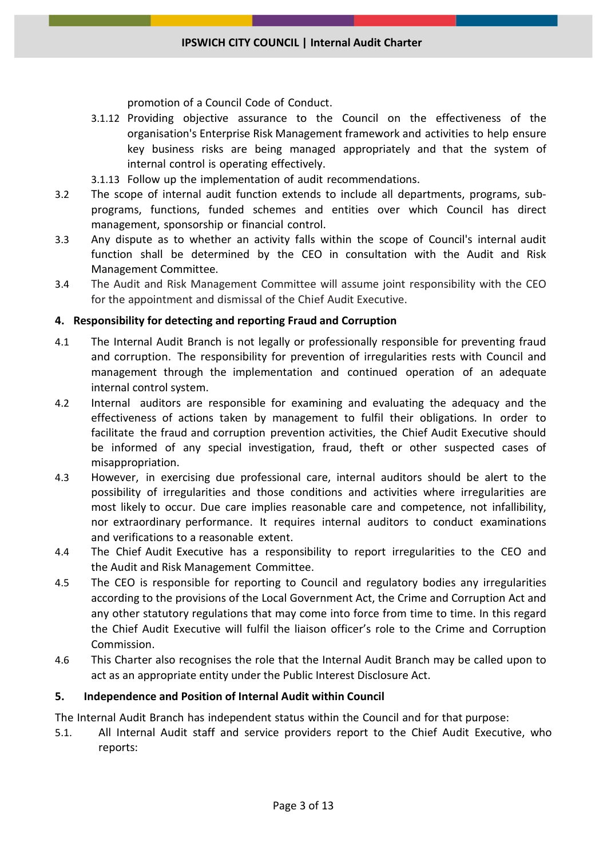promotion of a Council Code of Conduct.

- 3.1.12 Providing objective assurance to the Council on the effectiveness of the organisation's Enterprise Risk Management framework and activities to help ensure key business risks are being managed appropriately and that the system of internal control is operating effectively.
- 3.1.13 Follow up the implementation of audit recommendations.
- 3.2 The scope of internal audit function extends to include all departments, programs, sub‐ programs, functions, funded schemes and entities over which Council has direct management, sponsorship or financial control.
- 3.3 Any dispute as to whether an activity falls within the scope of Council's internal audit function shall be determined by the CEO in consultation with the Audit and Risk Management Committee.
- 3.4 The Audit and Risk Management Committee will assume joint responsibility with the CEO for the appointment and dismissal of the Chief Audit Executive.

# **4. Responsibility for detecting and reporting Fraud and Corruption**

- 4.1 The Internal Audit Branch is not legally or professionally responsible for preventing fraud and corruption. The responsibility for prevention of irregularities rests with Council and management through the implementation and continued operation of an adequate internal control system.
- 4.2 Internal auditors are responsible for examining and evaluating the adequacy and the effectiveness of actions taken by management to fulfil their obligations. In order to facilitate the fraud and corruption prevention activities, the Chief Audit Executive should be informed of any special investigation, fraud, theft or other suspected cases of misappropriation.
- 4.3 However, in exercising due professional care, internal auditors should be alert to the possibility of irregularities and those conditions and activities where irregularities are most likely to occur. Due care implies reasonable care and competence, not infallibility, nor extraordinary performance. It requires internal auditors to conduct examinations and verifications to a reasonable extent.
- 4.4 The Chief Audit Executive has a responsibility to report irregularities to the CEO and the Audit and Risk Management Committee.
- 4.5 The CEO is responsible for reporting to Council and regulatory bodies any irregularities according to the provisions of the Local Government Act, the Crime and Corruption Act and any other statutory regulations that may come into force from time to time. In this regard the Chief Audit Executive will fulfil the liaison officer's role to the Crime and Corruption Commission.
- 4.6 This Charter also recognises the role that the Internal Audit Branch may be called upon to act as an appropriate entity under the Public Interest Disclosure Act.

# **5. Independence and Position of Internal Audit within Council**

The Internal Audit Branch has independent status within the Council and for that purpose:

5.1. All Internal Audit staff and service providers report to the Chief Audit Executive, who reports: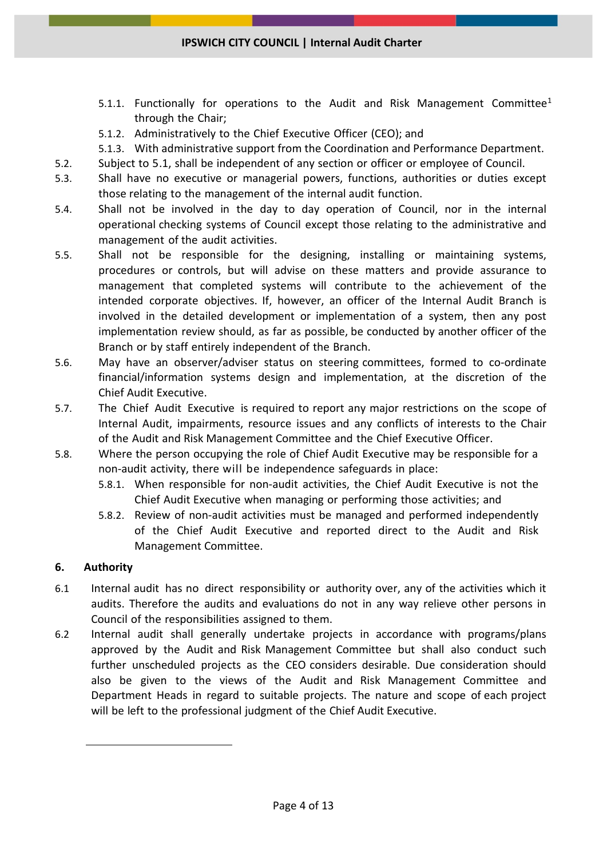- 5.[1](#page-3-0).1. Functionally for operations to the Audit and Risk Management Committee<sup>1</sup> through the Chair;
- 5.1.2. Administratively to the Chief Executive Officer (CEO); and
- 5.1.3. With administrative support from the Coordination and Performance Department.
- 5.2. Subject to 5.1, shall be independent of any section or officer or employee of Council.
- 5.3. Shall have no executive or managerial powers, functions, authorities or duties except those relating to the management of the internal audit function.
- 5.4. Shall not be involved in the day to day operation of Council, nor in the internal operational checking systems of Council except those relating to the administrative and management of the audit activities.
- 5.5. Shall not be responsible for the designing, installing or maintaining systems, procedures or controls, but will advise on these matters and provide assurance to management that completed systems will contribute to the achievement of the intended corporate objectives. If, however, an officer of the Internal Audit Branch is involved in the detailed development or implementation of a system, then any post implementation review should, as far as possible, be conducted by another officer of the Branch or by staff entirely independent of the Branch.
- 5.6. May have an observer/adviser status on steering committees, formed to co‐ordinate financial/information systems design and implementation, at the discretion of the Chief Audit Executive.
- 5.7. The Chief Audit Executive is required to report any major restrictions on the scope of Internal Audit, impairments, resource issues and any conflicts of interests to the Chair of the Audit and Risk Management Committee and the Chief Executive Officer.
- 5.8. Where the person occupying the role of Chief Audit Executive may be responsible for a non‐audit activity, there will be independence safeguards in place:
	- 5.8.1. When responsible for non‐audit activities, the Chief Audit Executive is not the Chief Audit Executive when managing or performing those activities; and
	- 5.8.2. Review of non‐audit activities must be managed and performed independently of the Chief Audit Executive and reported direct to the Audit and Risk Management Committee.

# **6. Authority**

<span id="page-3-0"></span>1

- 6.1 Internal audit has no direct responsibility or authority over, any of the activities which it audits. Therefore the audits and evaluations do not in any way relieve other persons in Council of the responsibilities assigned to them.
- 6.2 Internal audit shall generally undertake projects in accordance with programs/plans approved by the Audit and Risk Management Committee but shall also conduct such further unscheduled projects as the CEO considers desirable. Due consideration should also be given to the views of the Audit and Risk Management Committee and Department Heads in regard to suitable projects. The nature and scope of each project will be left to the professional judgment of the Chief Audit Executive.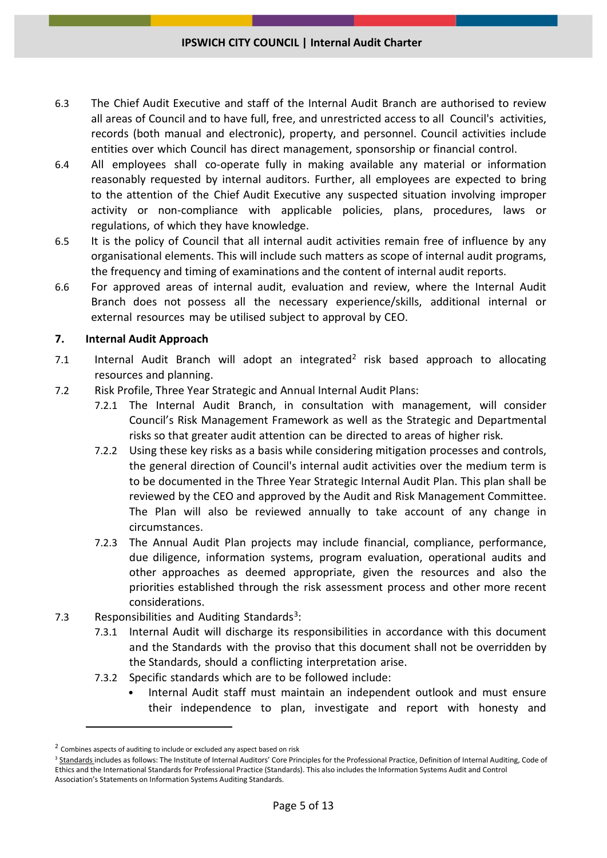- 6.3 The Chief Audit Executive and staff of the Internal Audit Branch are authorised to review all areas of Council and to have full, free, and unrestricted access to all Council's activities, records (both manual and electronic), property, and personnel. Council activities include entities over which Council has direct management, sponsorship or financial control.
- 6.4 All employees shall co‐operate fully in making available any material or information reasonably requested by internal auditors. Further, all employees are expected to bring to the attention of the Chief Audit Executive any suspected situation involving improper activity or non-compliance with applicable policies, plans, procedures, laws or regulations, of which they have knowledge.
- 6.5 It is the policy of Council that all internal audit activities remain free of influence by any organisational elements. This will include such matters as scope of internal audit programs, the frequency and timing of examinations and the content of internal audit reports.
- 6.6 For approved areas of internal audit, evaluation and review, where the Internal Audit Branch does not possess all the necessary experience/skills, additional internal or external resources may be utilised subject to approval by CEO.

# **7. Internal Audit Approach**

- 7.1 Internal Audit Branch will adopt an integrated<sup>[2](#page-4-0)</sup> risk based approach to allocating resources and planning.
- 7.2 Risk Profile, Three Year Strategic and Annual Internal Audit Plans:
	- 7.2.1 The Internal Audit Branch, in consultation with management, will consider Council's Risk Management Framework as well as the Strategic and Departmental risks so that greater audit attention can be directed to areas of higher risk.
	- 7.2.2 Using these key risks as a basis while considering mitigation processes and controls, the general direction of Council's internal audit activities over the medium term is to be documented in the Three Year Strategic Internal Audit Plan. This plan shall be reviewed by the CEO and approved by the Audit and Risk Management Committee. The Plan will also be reviewed annually to take account of any change in circumstances.
	- 7.2.3 The Annual Audit Plan projects may include financial, compliance, performance, due diligence, information systems, program evaluation, operational audits and other approaches as deemed appropriate, given the resources and also the priorities established through the risk assessment process and other more recent considerations.
- 7.3 Responsibilities and Auditing Standards<sup>3</sup>:
	- 7.3.1 Internal Audit will discharge its responsibilities in accordance with this document and the Standards with the proviso that this document shall not be overridden by the Standards, should a conflicting interpretation arise.
	- 7.3.2 Specific standards which are to be followed include:
		- Internal Audit staff must maintain an independent outlook and must ensure their independence to plan, investigate and report with honesty and

-

<span id="page-4-0"></span><sup>&</sup>lt;sup>2</sup> Combines aspects of auditing to include or excluded any aspect based on risk

<span id="page-4-1"></span><sup>&</sup>lt;sup>3</sup> Standards includes as follows: The Institute of Internal Auditors' Core Principles for the Professional Practice, Definition of Internal Auditing, Code of Ethics and the International Standards for Professional Practice (Standards). This also includes the Information Systems Audit and Control Association's Statements on Information Systems Auditing Standards.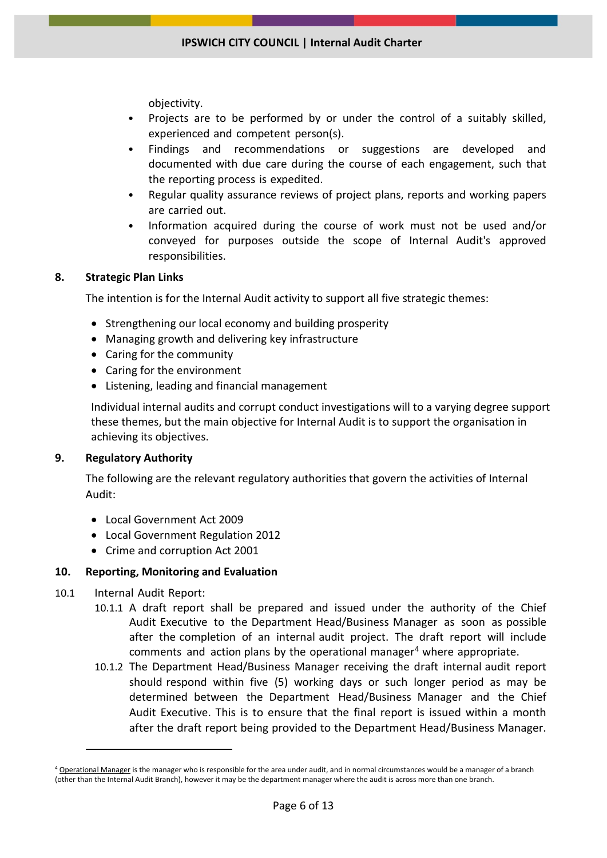objectivity.

- Projects are to be performed by or under the control of a suitably skilled, experienced and competent person(s).
- Findings and recommendations or suggestions are developed and documented with due care during the course of each engagement, such that the reporting process is expedited.
- Regular quality assurance reviews of project plans, reports and working papers are carried out.
- Information acquired during the course of work must not be used and/or conveyed for purposes outside the scope of Internal Audit's approved responsibilities.

# **8. Strategic Plan Links**

The intention is for the Internal Audit activity to support all five strategic themes:

- Strengthening our local economy and building prosperity
- Managing growth and delivering key infrastructure
- Caring for the community
- Caring for the environment
- Listening, leading and financial management

Individual internal audits and corrupt conduct investigations will to a varying degree support these themes, but the main objective for Internal Audit is to support the organisation in achieving its objectives.

#### **9. Regulatory Authority**

The following are the relevant regulatory authorities that govern the activities of Internal Audit:

- Local Government Act 2009
- Local Government Regulation 2012
- Crime and corruption Act 2001

# **10. Reporting, Monitoring and Evaluation**

10.1 Internal Audit Report:

1

- 10.1.1 A draft report shall be prepared and issued under the authority of the Chief Audit Executive to the Department Head/Business Manager as soon as possible after the completion of an internal audit project. The draft report will include comments and action plans by the operational manager<sup>[4](#page-5-0)</sup> where appropriate.
- 10.1.2 The Department Head/Business Manager receiving the draft internal audit report should respond within five (5) working days or such longer period as may be determined between the Department Head/Business Manager and the Chief Audit Executive. This is to ensure that the final report is issued within a month after the draft report being provided to the Department Head/Business Manager.

<span id="page-5-0"></span><sup>&</sup>lt;sup>4</sup> Operational Manager is the manager who is responsible for the area under audit, and in normal circumstances would be a manager of a branch (other than the Internal Audit Branch), however it may be the department manager where the audit is across more than one branch.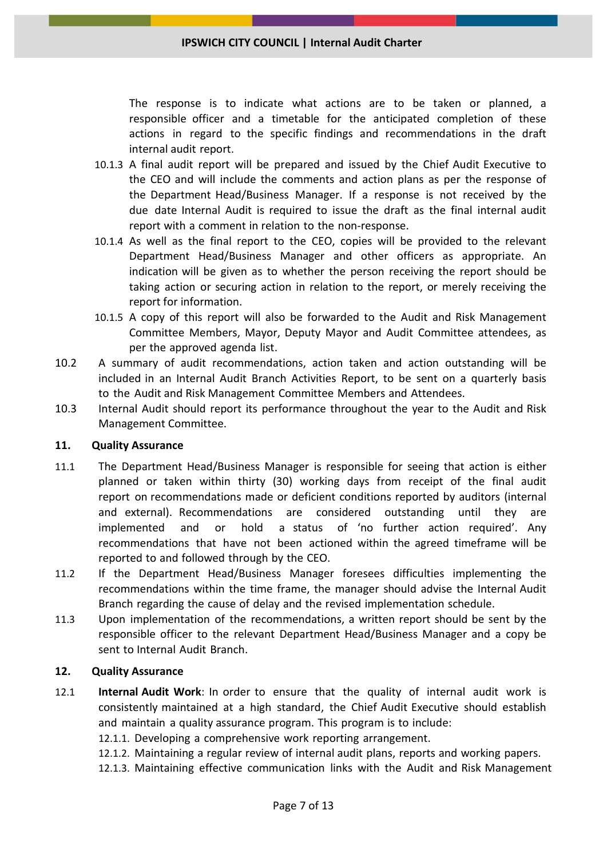The response is to indicate what actions are to be taken or planned, a responsible officer and a timetable for the anticipated completion of these actions in regard to the specific findings and recommendations in the draft internal audit report.

- 10.1.3 A final audit report will be prepared and issued by the Chief Audit Executive to the CEO and will include the comments and action plans as per the response of the Department Head/Business Manager. If a response is not received by the due date Internal Audit is required to issue the draft as the final internal audit report with a comment in relation to the non-response.
- 10.1.4 As well as the final report to the CEO, copies will be provided to the relevant Department Head/Business Manager and other officers as appropriate. An indication will be given as to whether the person receiving the report should be taking action or securing action in relation to the report, or merely receiving the report for information.
- 10.1.5 A copy of this report will also be forwarded to the Audit and Risk Management Committee Members, Mayor, Deputy Mayor and Audit Committee attendees, as per the approved agenda list.
- 10.2 A summary of audit recommendations, action taken and action outstanding will be included in an Internal Audit Branch Activities Report, to be sent on a quarterly basis to the Audit and Risk Management Committee Members and Attendees.
- 10.3 Internal Audit should report its performance throughout the year to the Audit and Risk Management Committee.

# **11. Quality Assurance**

- 11.1 The Department Head/Business Manager is responsible for seeing that action is either planned or taken within thirty (30) working days from receipt of the final audit report on recommendations made or deficient conditions reported by auditors (internal and external). Recommendations are considered outstanding until they are implemented and or hold a status of 'no further action required'. Any recommendations that have not been actioned within the agreed timeframe will be reported to and followed through by the CEO.
- 11.2 If the Department Head/Business Manager foresees difficulties implementing the recommendations within the time frame, the manager should advise the Internal Audit Branch regarding the cause of delay and the revised implementation schedule.
- 11.3 Upon implementation of the recommendations, a written report should be sent by the responsible officer to the relevant Department Head/Business Manager and a copy be sent to Internal Audit Branch.

# **12. Quality Assurance**

- 12.1 **Internal Audit Work**: In order to ensure that the quality of internal audit work is consistently maintained at a high standard, the Chief Audit Executive should establish and maintain a quality assurance program. This program is to include:
	- 12.1.1. Developing a comprehensive work reporting arrangement.
	- 12.1.2. Maintaining a regular review of internal audit plans, reports and working papers.
	- 12.1.3. Maintaining effective communication links with the Audit and Risk Management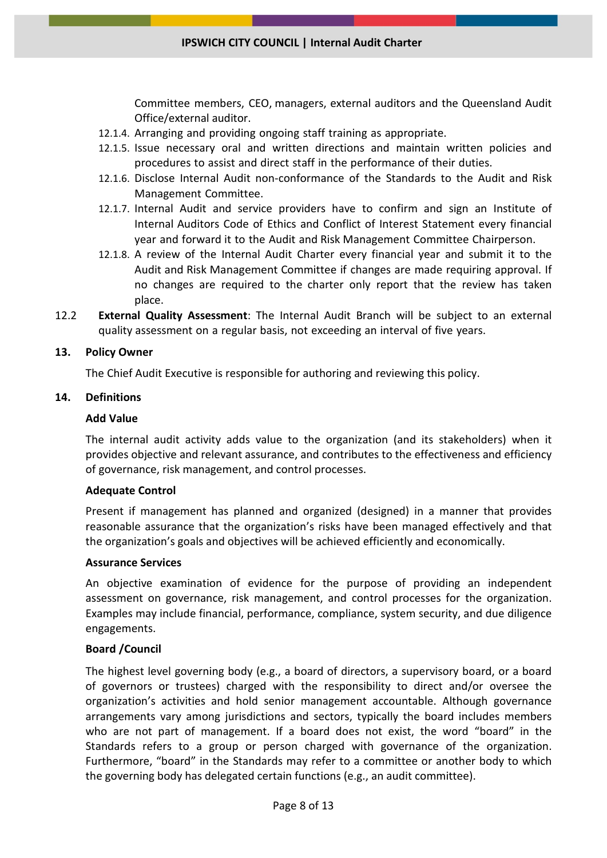Committee members, CEO, managers, external auditors and the Queensland Audit Office/external auditor.

- 12.1.4. Arranging and providing ongoing staff training as appropriate.
- 12.1.5. Issue necessary oral and written directions and maintain written policies and procedures to assist and direct staff in the performance of their duties.
- 12.1.6. Disclose Internal Audit non-conformance of the Standards to the Audit and Risk Management Committee.
- 12.1.7. Internal Audit and service providers have to confirm and sign an Institute of Internal Auditors Code of Ethics and Conflict of Interest Statement every financial year and forward it to the Audit and Risk Management Committee Chairperson.
- 12.1.8. A review of the Internal Audit Charter every financial year and submit it to the Audit and Risk Management Committee if changes are made requiring approval. If no changes are required to the charter only report that the review has taken place.
- 12.2 **External Quality Assessment**: The Internal Audit Branch will be subject to an external quality assessment on a regular basis, not exceeding an interval of five years.

# **13. Policy Owner**

The Chief Audit Executive is responsible for authoring and reviewing this policy.

# **14. Definitions**

## **Add Value**

The internal audit activity adds value to the organization (and its stakeholders) when it provides objective and relevant assurance, and contributes to the effectiveness and efficiency of governance, risk management, and control processes.

# **Adequate Control**

Present if management has planned and organized (designed) in a manner that provides reasonable assurance that the organization's risks have been managed effectively and that the organization's goals and objectives will be achieved efficiently and economically.

## **Assurance Services**

An objective examination of evidence for the purpose of providing an independent assessment on governance, risk management, and control processes for the organization. Examples may include financial, performance, compliance, system security, and due diligence engagements.

# **Board /Council**

The highest level governing body (e.g., a board of directors, a supervisory board, or a board of governors or trustees) charged with the responsibility to direct and/or oversee the organization's activities and hold senior management accountable. Although governance arrangements vary among jurisdictions and sectors, typically the board includes members who are not part of management. If a board does not exist, the word "board" in the Standards refers to a group or person charged with governance of the organization. Furthermore, "board" in the Standards may refer to a committee or another body to which the governing body has delegated certain functions (e.g., an audit committee).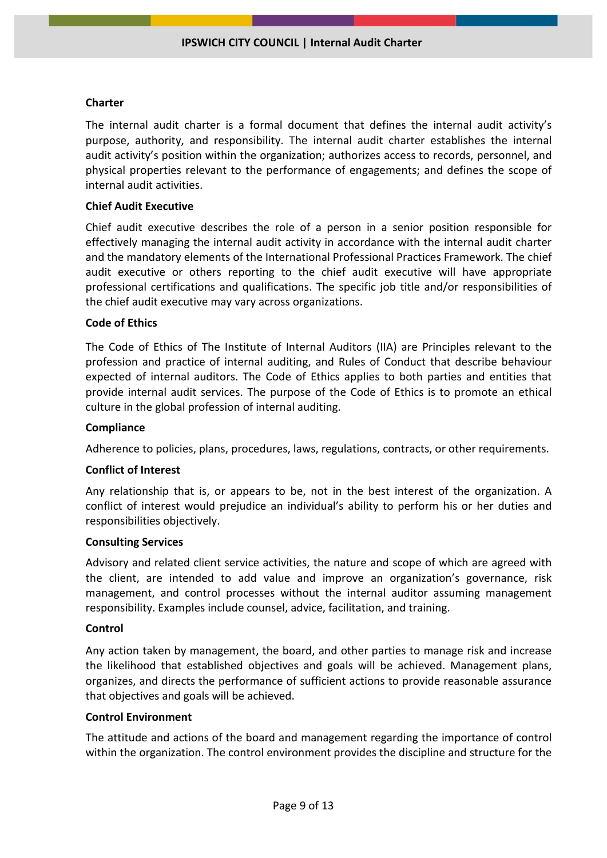# **Charter**

The internal audit charter is a formal document that defines the internal audit activity's purpose, authority, and responsibility. The internal audit charter establishes the internal audit activity's position within the organization; authorizes access to records, personnel, and physical properties relevant to the performance of engagements; and defines the scope of internal audit activities.

## **Chief Audit Executive**

Chief audit executive describes the role of a person in a senior position responsible for effectively managing the internal audit activity in accordance with the internal audit charter and the mandatory elements of the International Professional Practices Framework. The chief audit executive or others reporting to the chief audit executive will have appropriate professional certifications and qualifications. The specific job title and/or responsibilities of the chief audit executive may vary across organizations.

## **Code of Ethics**

The Code of Ethics of The Institute of Internal Auditors (IIA) are Principles relevant to the profession and practice of internal auditing, and Rules of Conduct that describe behaviour expected of internal auditors. The Code of Ethics applies to both parties and entities that provide internal audit services. The purpose of the Code of Ethics is to promote an ethical culture in the global profession of internal auditing.

## **Compliance**

Adherence to policies, plans, procedures, laws, regulations, contracts, or other requirements.

#### **Conflict of Interest**

Any relationship that is, or appears to be, not in the best interest of the organization. A conflict of interest would prejudice an individual's ability to perform his or her duties and responsibilities objectively.

## **Consulting Services**

Advisory and related client service activities, the nature and scope of which are agreed with the client, are intended to add value and improve an organization's governance, risk management, and control processes without the internal auditor assuming management responsibility. Examples include counsel, advice, facilitation, and training.

#### **Control**

Any action taken by management, the board, and other parties to manage risk and increase the likelihood that established objectives and goals will be achieved. Management plans, organizes, and directs the performance of sufficient actions to provide reasonable assurance that objectives and goals will be achieved.

#### **Control Environment**

The attitude and actions of the board and management regarding the importance of control within the organization. The control environment provides the discipline and structure for the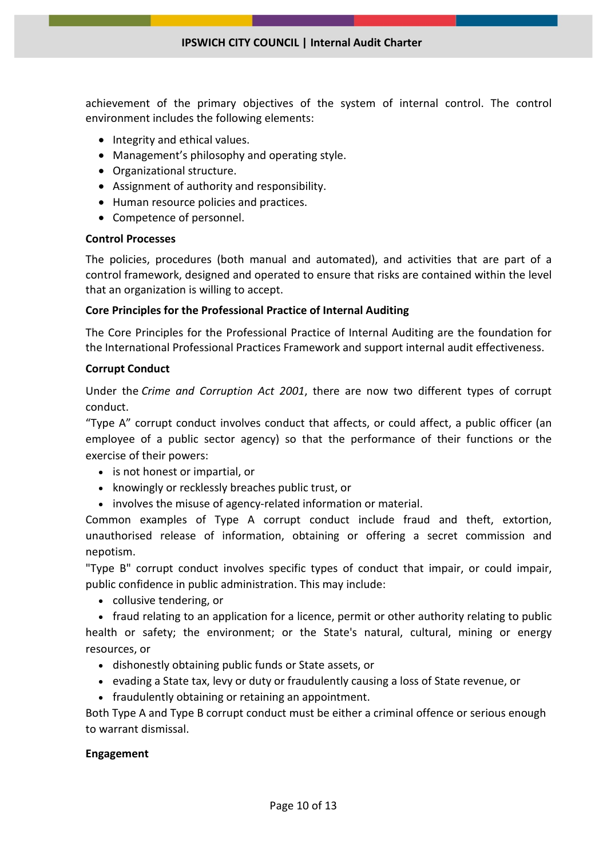achievement of the primary objectives of the system of internal control. The control environment includes the following elements:

- Integrity and ethical values.
- Management's philosophy and operating style.
- Organizational structure.
- Assignment of authority and responsibility.
- Human resource policies and practices.
- Competence of personnel.

## **Control Processes**

The policies, procedures (both manual and automated), and activities that are part of a control framework, designed and operated to ensure that risks are contained within the level that an organization is willing to accept.

# **Core Principles for the Professional Practice of Internal Auditing**

The Core Principles for the Professional Practice of Internal Auditing are the foundation for the International Professional Practices Framework and support internal audit effectiveness.

# **Corrupt Conduct**

Under the *Crime and Corruption Act 2001*, there are now two different types of corrupt conduct.

"Type A" corrupt conduct involves conduct that affects, or could affect, a public officer (an employee of a public sector agency) so that the performance of their functions or the exercise of their powers:

- is not honest or impartial, or
- knowingly or recklessly breaches public trust, or
- involves the misuse of agency-related information or material.

Common examples of Type A corrupt conduct include fraud and theft, extortion, unauthorised release of information, obtaining or offering a secret commission and nepotism.

"Type B" corrupt conduct involves specific types of conduct that impair, or could impair, public confidence in public administration. This may include:

• collusive tendering, or

• fraud relating to an application for a licence, permit or other authority relating to public health or safety; the environment; or the State's natural, cultural, mining or energy resources, or

- dishonestly obtaining public funds or State assets, or
- evading a State tax, levy or duty or fraudulently causing a loss of State revenue, or
- fraudulently obtaining or retaining an appointment.

Both Type A and Type B corrupt conduct must be either a criminal offence or serious enough to warrant dismissal.

# **Engagement**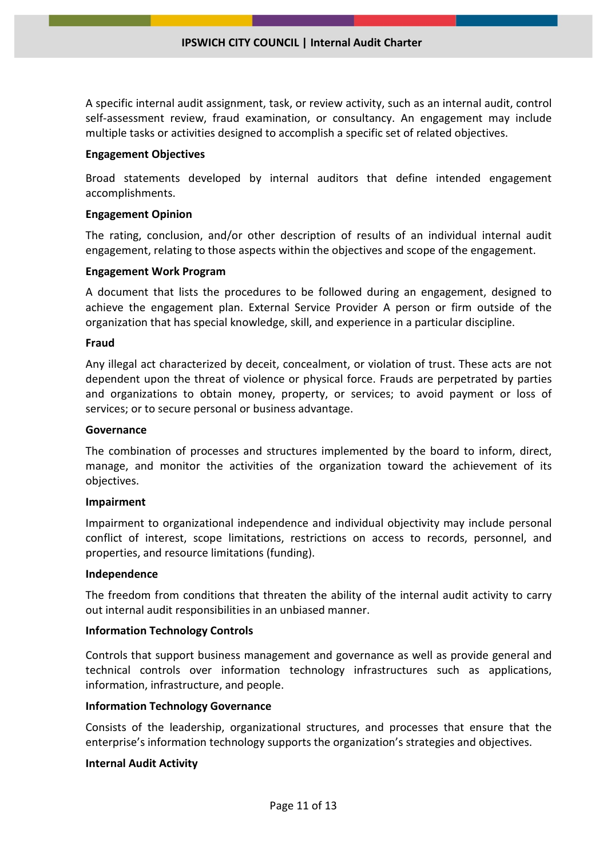A specific internal audit assignment, task, or review activity, such as an internal audit, control self-assessment review, fraud examination, or consultancy. An engagement may include multiple tasks or activities designed to accomplish a specific set of related objectives.

## **Engagement Objectives**

Broad statements developed by internal auditors that define intended engagement accomplishments.

#### **Engagement Opinion**

The rating, conclusion, and/or other description of results of an individual internal audit engagement, relating to those aspects within the objectives and scope of the engagement.

## **Engagement Work Program**

A document that lists the procedures to be followed during an engagement, designed to achieve the engagement plan. External Service Provider A person or firm outside of the organization that has special knowledge, skill, and experience in a particular discipline.

#### **Fraud**

Any illegal act characterized by deceit, concealment, or violation of trust. These acts are not dependent upon the threat of violence or physical force. Frauds are perpetrated by parties and organizations to obtain money, property, or services; to avoid payment or loss of services; or to secure personal or business advantage.

#### **Governance**

The combination of processes and structures implemented by the board to inform, direct, manage, and monitor the activities of the organization toward the achievement of its objectives.

#### **Impairment**

Impairment to organizational independence and individual objectivity may include personal conflict of interest, scope limitations, restrictions on access to records, personnel, and properties, and resource limitations (funding).

#### **Independence**

The freedom from conditions that threaten the ability of the internal audit activity to carry out internal audit responsibilities in an unbiased manner.

#### **Information Technology Controls**

Controls that support business management and governance as well as provide general and technical controls over information technology infrastructures such as applications, information, infrastructure, and people.

#### **Information Technology Governance**

Consists of the leadership, organizational structures, and processes that ensure that the enterprise's information technology supports the organization's strategies and objectives.

#### **Internal Audit Activity**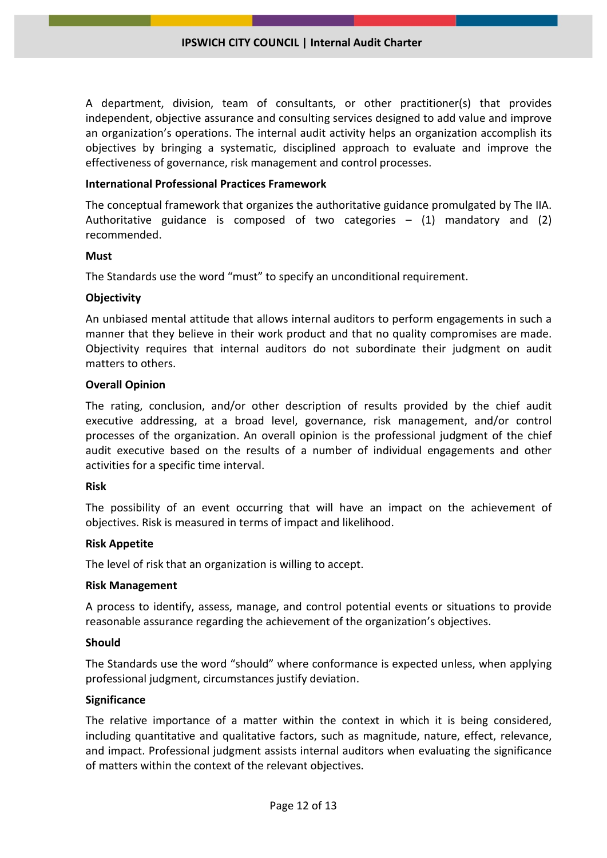A department, division, team of consultants, or other practitioner(s) that provides independent, objective assurance and consulting services designed to add value and improve an organization's operations. The internal audit activity helps an organization accomplish its objectives by bringing a systematic, disciplined approach to evaluate and improve the effectiveness of governance, risk management and control processes.

## **International Professional Practices Framework**

The conceptual framework that organizes the authoritative guidance promulgated by The IIA. Authoritative guidance is composed of two categories  $-$  (1) mandatory and (2) recommended.

## **Must**

The Standards use the word "must" to specify an unconditional requirement.

## **Objectivity**

An unbiased mental attitude that allows internal auditors to perform engagements in such a manner that they believe in their work product and that no quality compromises are made. Objectivity requires that internal auditors do not subordinate their judgment on audit matters to others.

## **Overall Opinion**

The rating, conclusion, and/or other description of results provided by the chief audit executive addressing, at a broad level, governance, risk management, and/or control processes of the organization. An overall opinion is the professional judgment of the chief audit executive based on the results of a number of individual engagements and other activities for a specific time interval.

#### **Risk**

The possibility of an event occurring that will have an impact on the achievement of objectives. Risk is measured in terms of impact and likelihood.

#### **Risk Appetite**

The level of risk that an organization is willing to accept.

#### **Risk Management**

A process to identify, assess, manage, and control potential events or situations to provide reasonable assurance regarding the achievement of the organization's objectives.

## **Should**

The Standards use the word "should" where conformance is expected unless, when applying professional judgment, circumstances justify deviation.

#### **Significance**

The relative importance of a matter within the context in which it is being considered, including quantitative and qualitative factors, such as magnitude, nature, effect, relevance, and impact. Professional judgment assists internal auditors when evaluating the significance of matters within the context of the relevant objectives.